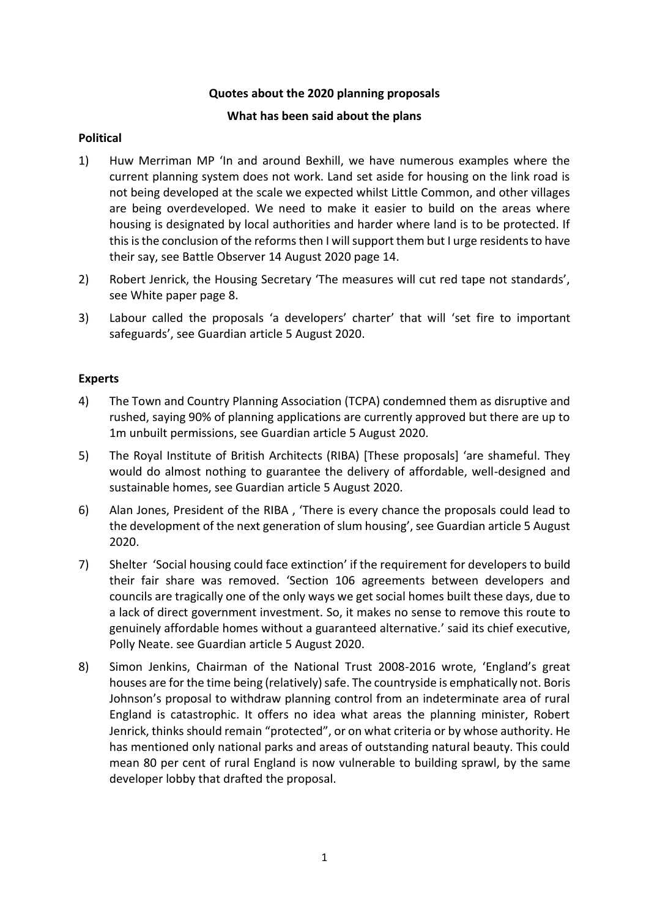#### **Quotes about the 2020 planning proposals**

#### **What has been said about the plans**

## **Political**

- 1) Huw Merriman MP 'In and around Bexhill, we have numerous examples where the current planning system does not work. Land set aside for housing on the link road is not being developed at the scale we expected whilst Little Common, and other villages are being overdeveloped. We need to make it easier to build on the areas where housing is designated by local authorities and harder where land is to be protected. If this is the conclusion of the reforms then I will support them but I urge residents to have their say, see Battle Observer 14 August 2020 page 14.
- 2) Robert Jenrick, the Housing Secretary 'The measures will cut red tape not standards', see White paper page 8.
- 3) Labour called the proposals 'a developers' charter' that will 'set fire to important safeguards', see Guardian article 5 August 2020.

## **Experts**

- 4) The Town and Country Planning Association (TCPA) condemned them as disruptive and rushed, saying 90% of planning applications are currently approved but there are up to 1m unbuilt permissions, see Guardian article 5 August 2020.
- 5) The Royal Institute of British Architects (RIBA) [These proposals] 'are shameful. They would do almost nothing to guarantee the delivery of affordable, well-designed and sustainable homes, see Guardian article 5 August 2020.
- 6) Alan Jones, President of the RIBA , 'There is every chance the proposals could lead to the development of the next generation of slum housing', see Guardian article 5 August 2020.
- 7) Shelter 'Social housing could face extinction' if the requirement for developers to build their fair share was removed. 'Section 106 agreements between developers and councils are tragically one of the only ways we get social homes built these days, due to a lack of direct government investment. So, it makes no sense to remove this route to genuinely affordable homes without a guaranteed alternative.' said its chief executive, Polly Neate. see Guardian article 5 August 2020.
- 8) Simon Jenkins, Chairman of the National Trust 2008-2016 wrote, 'England's great houses are for the time being (relatively) safe. The countryside is emphatically not. Boris Johnson's proposal to withdraw planning control from an indeterminate area of rural England is catastrophic. It offers no idea what areas the planning minister, Robert Jenrick, thinks should remain "protected", or on what criteria or by whose authority. He has mentioned only national parks and areas of outstanding natural beauty. This could mean 80 per cent of rural England is now vulnerable to building sprawl, by the same developer lobby that drafted the proposal.